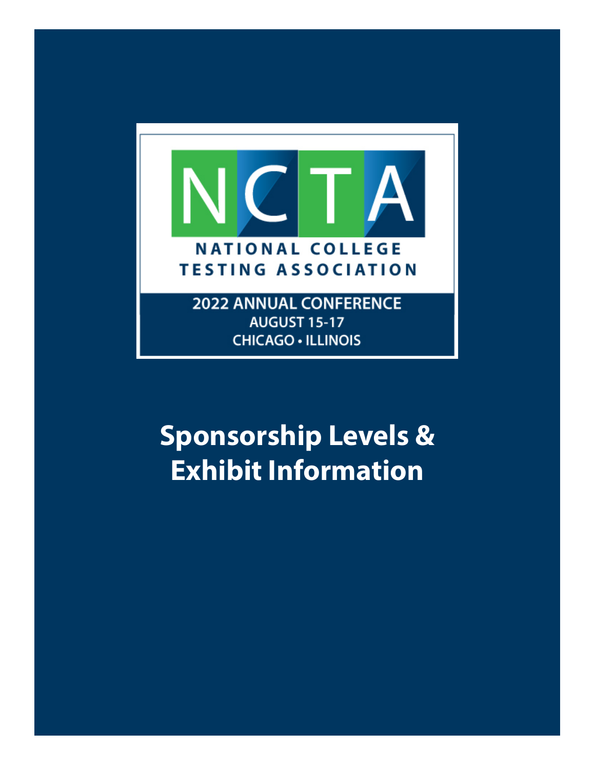

**AUGUST 15-17 CHICAGO · ILLINOIS** 

# **Sponsorship Levels & Exhibit Information**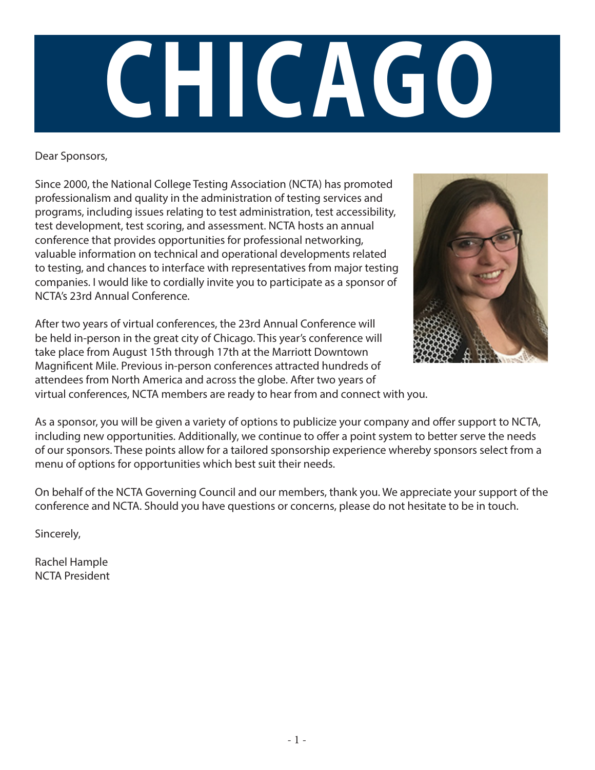

### Dear Sponsors,

Since 2000, the National College Testing Association (NCTA) has promoted professionalism and quality in the administration of testing services and programs, including issues relating to test administration, test accessibility, test development, test scoring, and assessment. NCTA hosts an annual conference that provides opportunities for professional networking, valuable information on technical and operational developments related to testing, and chances to interface with representatives from major testing companies. I would like to cordially invite you to participate as a sponsor of NCTA's 23rd Annual Conference.



After two years of virtual conferences, the 23rd Annual Conference will be held in-person in the great city of Chicago. This year's conference will take place from August 15th through 17th at the Marriott Downtown Magnificent Mile. Previous in-person conferences attracted hundreds of attendees from North America and across the globe. After two years of virtual conferences, NCTA members are ready to hear from and connect with you.

As a sponsor, you will be given a variety of options to publicize your company and offer support to NCTA, including new opportunities. Additionally, we continue to offer a point system to better serve the needs of our sponsors. These points allow for a tailored sponsorship experience whereby sponsors select from a menu of options for opportunities which best suit their needs.

On behalf of the NCTA Governing Council and our members, thank you. We appreciate your support of the conference and NCTA. Should you have questions or concerns, please do not hesitate to be in touch.

Sincerely,

Rachel Hample NCTA President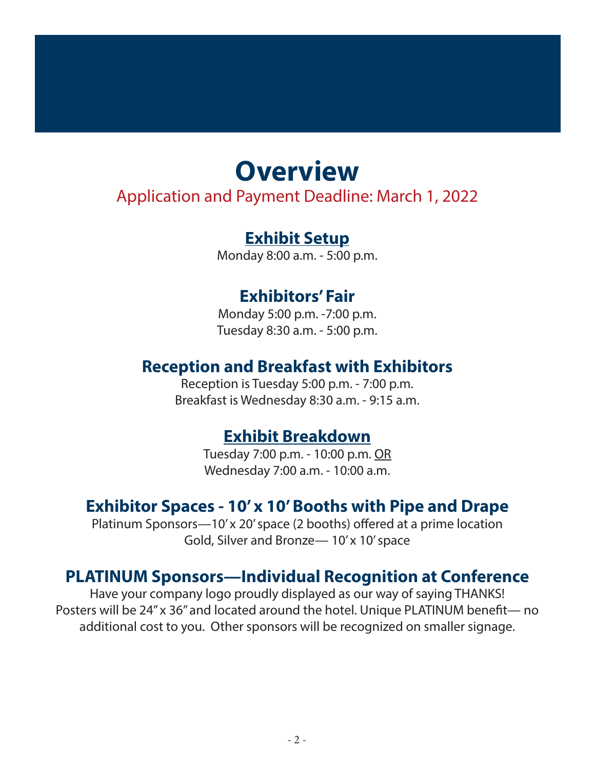# **Overview**

### Application and Payment Deadline: March 1, 2022

## **Exhibit Setup**

Monday 8:00 a.m. - 5:00 p.m.

### **Exhibitors' Fair**

Monday 5:00 p.m. -7:00 p.m. Tuesday 8:30 a.m. - 5:00 p.m.

## **Reception and Breakfast with Exhibitors**

Reception is Tuesday 5:00 p.m. - 7:00 p.m. Breakfast is Wednesday 8:30 a.m. - 9:15 a.m.

## **Exhibit Breakdown**

Tuesday 7:00 p.m. - 10:00 p.m. OR Wednesday 7:00 a.m. - 10:00 a.m.

## **Exhibitor Spaces - 10' x 10' Booths with Pipe and Drape**

Platinum Sponsors—10' x 20' space (2 booths) offered at a prime location Gold, Silver and Bronze— 10' x 10' space

### **PLATINUM Sponsors—Individual Recognition at Conference**

Have your company logo proudly displayed as our way of saying THANKS! Posters will be 24" x 36" and located around the hotel. Unique PLATINUM benefit— no additional cost to you. Other sponsors will be recognized on smaller signage.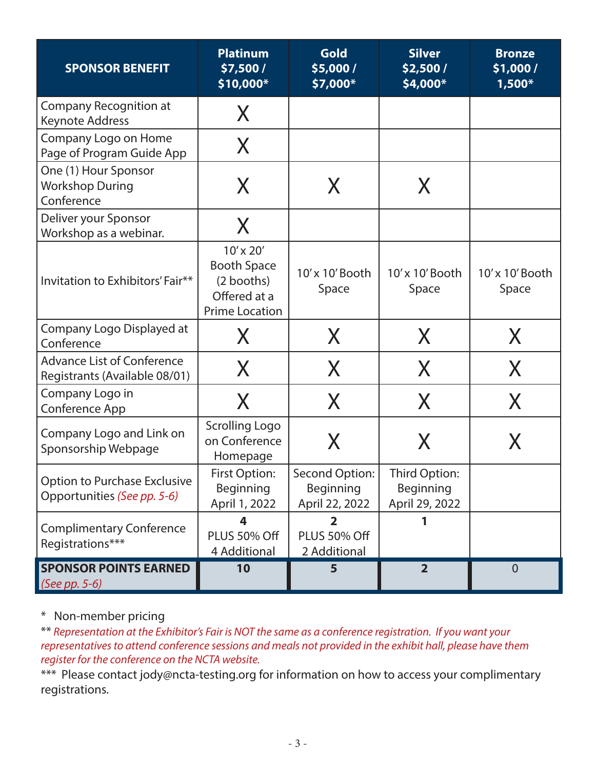| <b>SPONSOR BENEFIT</b>                                             | <b>Platinum</b><br>\$7,500 /<br>\$10,000*                                                  | Gold<br>\$5,000 /<br>\$7,000*                           | <b>Silver</b><br>\$2,500 /<br>\$4,000*       | <b>Bronze</b><br>\$1,000/<br>$1,500*$ |
|--------------------------------------------------------------------|--------------------------------------------------------------------------------------------|---------------------------------------------------------|----------------------------------------------|---------------------------------------|
| Company Recognition at<br>Keynote Address                          | X                                                                                          |                                                         |                                              |                                       |
| Company Logo on Home<br>Page of Program Guide App                  | X                                                                                          |                                                         |                                              |                                       |
| One (1) Hour Sponsor<br><b>Workshop During</b><br>Conference       | X                                                                                          | X                                                       | X                                            |                                       |
| Deliver your Sponsor<br>Workshop as a webinar.                     | X                                                                                          |                                                         |                                              |                                       |
| Invitation to Exhibitors' Fair**                                   | $10'$ x $20'$<br><b>Booth Space</b><br>(2 booths)<br>Offered at a<br><b>Prime Location</b> | 10'x 10'Booth<br>Space                                  | 10'x 10' Booth<br>Space                      | 10'x 10'Booth<br>Space                |
| Company Logo Displayed at<br>Conference                            | X.                                                                                         | X                                                       | X                                            | X                                     |
| <b>Advance List of Conference</b><br>Registrants (Available 08/01) | X                                                                                          | X                                                       | X                                            | X                                     |
| Company Logo in<br>Conference App                                  | X                                                                                          | X                                                       | X                                            | X                                     |
| Company Logo and Link on<br>Sponsorship Webpage                    | <b>Scrolling Logo</b><br>on Conference<br>Homepage                                         | X                                                       | X.                                           | X                                     |
| <b>Option to Purchase Exclusive</b><br>Opportunities (See pp. 5-6) | First Option:<br><b>Beginning</b><br>April 1, 2022                                         | Second Option:<br>Beginning<br>April 22, 2022           | Third Option:<br>Beginning<br>April 29, 2022 |                                       |
| <b>Complimentary Conference</b><br>Registrations***                | 4<br>PLUS 50% Off<br>4 Additional                                                          | $\overline{\mathbf{2}}$<br>PLUS 50% Off<br>2 Additional |                                              |                                       |
| <b>SPONSOR POINTS EARNED</b><br>$(See pp. 5-6)$                    | 10                                                                                         | 5                                                       | $\overline{2}$                               | $\overline{0}$                        |

\* Non-member pricing

\*\* *Representation at the Exhibitor's Fair is NOT the same as a conference registration. If you want your representatives to attend conference sessions and meals not provided in the exhibit hall, please have them register for the conference on the NCTA website.* 

\*\*\* Please contact jody@ncta-testing.org for information on how to access your complimentary registrations.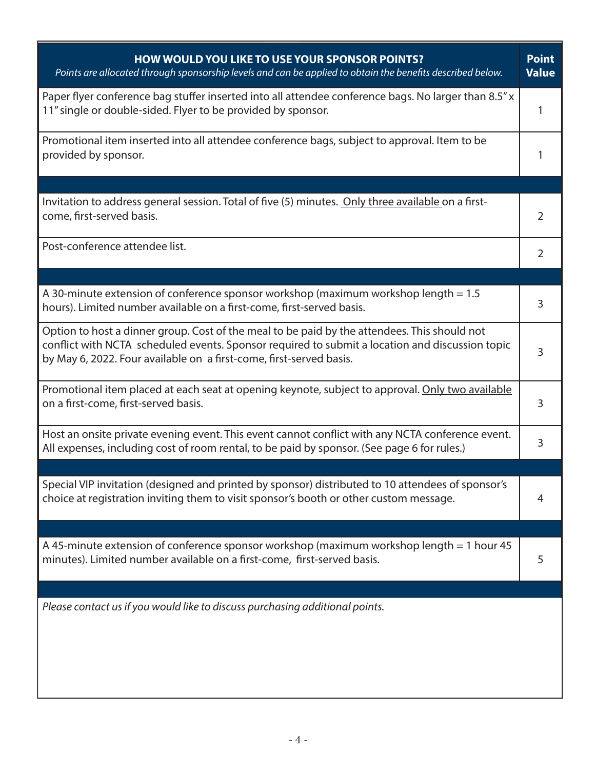| <b>HOW WOULD YOU LIKE TO USE YOUR SPONSOR POINTS?</b><br>Points are allocated through sponsorship levels and can be applied to obtain the benefits described below.                                                                                                    | <b>Point</b><br><b>Value</b> |
|------------------------------------------------------------------------------------------------------------------------------------------------------------------------------------------------------------------------------------------------------------------------|------------------------------|
| Paper flyer conference bag stuffer inserted into all attendee conference bags. No larger than 8.5" x<br>11" single or double-sided. Flyer to be provided by sponsor.                                                                                                   | 1                            |
| Promotional item inserted into all attendee conference bags, subject to approval. Item to be<br>provided by sponsor.                                                                                                                                                   |                              |
|                                                                                                                                                                                                                                                                        |                              |
| Invitation to address general session. Total of five (5) minutes. Only three available on a first-<br>come, first-served basis.                                                                                                                                        | 2                            |
| Post-conference attendee list.                                                                                                                                                                                                                                         | $\overline{2}$               |
|                                                                                                                                                                                                                                                                        |                              |
| A 30-minute extension of conference sponsor workshop (maximum workshop length = 1.5<br>hours). Limited number available on a first-come, first-served basis.                                                                                                           | 3                            |
| Option to host a dinner group. Cost of the meal to be paid by the attendees. This should not<br>conflict with NCTA scheduled events. Sponsor required to submit a location and discussion topic<br>by May 6, 2022. Four available on a first-come, first-served basis. | 3                            |
| Promotional item placed at each seat at opening keynote, subject to approval. Only two available<br>on a first-come, first-served basis.                                                                                                                               | 3                            |
| Host an onsite private evening event. This event cannot conflict with any NCTA conference event.<br>All expenses, including cost of room rental, to be paid by sponsor. (See page 6 for rules.)                                                                        | 3                            |
|                                                                                                                                                                                                                                                                        |                              |
| Special VIP invitation (designed and printed by sponsor) distributed to 10 attendees of sponsor's<br>choice at registration inviting them to visit sponsor's booth or other custom message.                                                                            | 4                            |
|                                                                                                                                                                                                                                                                        |                              |
| A 45-minute extension of conference sponsor workshop (maximum workshop length = 1 hour 45<br>minutes). Limited number available on a first-come, first-served basis.                                                                                                   | 5                            |
|                                                                                                                                                                                                                                                                        |                              |
| Please contact us if you would like to discuss purchasing additional points.                                                                                                                                                                                           |                              |
|                                                                                                                                                                                                                                                                        |                              |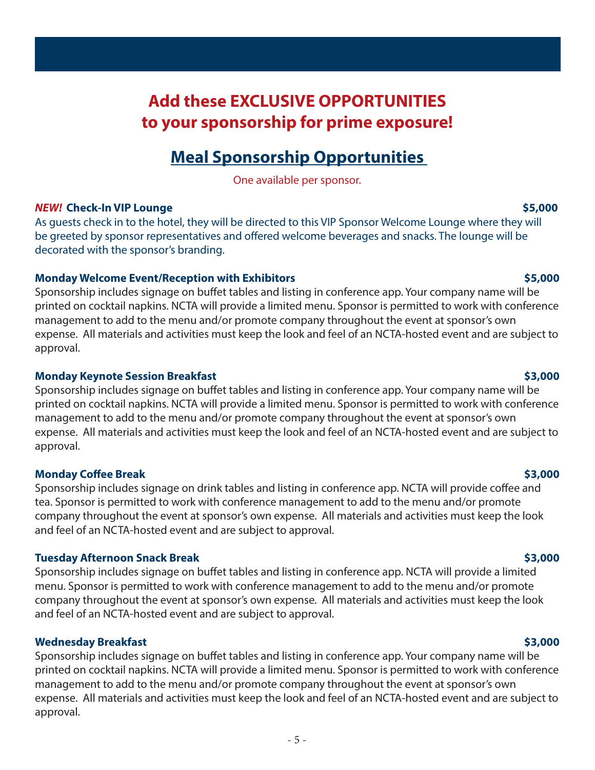## **Add these EXCLUSIVE OPPORTUNITIES to your sponsorship for prime exposure!**

### **Meal Sponsorship Opportunities**

One available per sponsor.

#### *NEW!* **Check-In VIP Lounge \$5,000**

As guests check in to the hotel, they will be directed to this VIP Sponsor Welcome Lounge where they will be greeted by sponsor representatives and offered welcome beverages and snacks. The lounge will be decorated with the sponsor's branding.

### **Monday Welcome Event/Reception with Exhibitors \$5,000**

Sponsorship includes signage on buffet tables and listing in conference app. Your company name will be printed on cocktail napkins. NCTA will provide a limited menu. Sponsor is permitted to work with conference management to add to the menu and/or promote company throughout the event at sponsor's own expense. All materials and activities must keep the look and feel of an NCTA-hosted event and are subject to approval.

### **Monday Keynote Session Breakfast \$3,000**

Sponsorship includes signage on buffet tables and listing in conference app. Your company name will be printed on cocktail napkins. NCTA will provide a limited menu. Sponsor is permitted to work with conference management to add to the menu and/or promote company throughout the event at sponsor's own expense. All materials and activities must keep the look and feel of an NCTA-hosted event and are subject to approval.

### **Monday Coffee Break \$3,000**

Sponsorship includes signage on drink tables and listing in conference app. NCTA will provide coffee and tea. Sponsor is permitted to work with conference management to add to the menu and/or promote company throughout the event at sponsor's own expense. All materials and activities must keep the look and feel of an NCTA-hosted event and are subject to approval.

### **Tuesday Afternoon Snack Break \$3,000**

Sponsorship includes signage on buffet tables and listing in conference app. NCTA will provide a limited menu. Sponsor is permitted to work with conference management to add to the menu and/or promote company throughout the event at sponsor's own expense. All materials and activities must keep the look and feel of an NCTA-hosted event and are subject to approval.

### **Wednesday Breakfast \$3,000**

Sponsorship includes signage on buffet tables and listing in conference app. Your company name will be printed on cocktail napkins. NCTA will provide a limited menu. Sponsor is permitted to work with conference management to add to the menu and/or promote company throughout the event at sponsor's own expense. All materials and activities must keep the look and feel of an NCTA-hosted event and are subject to approval.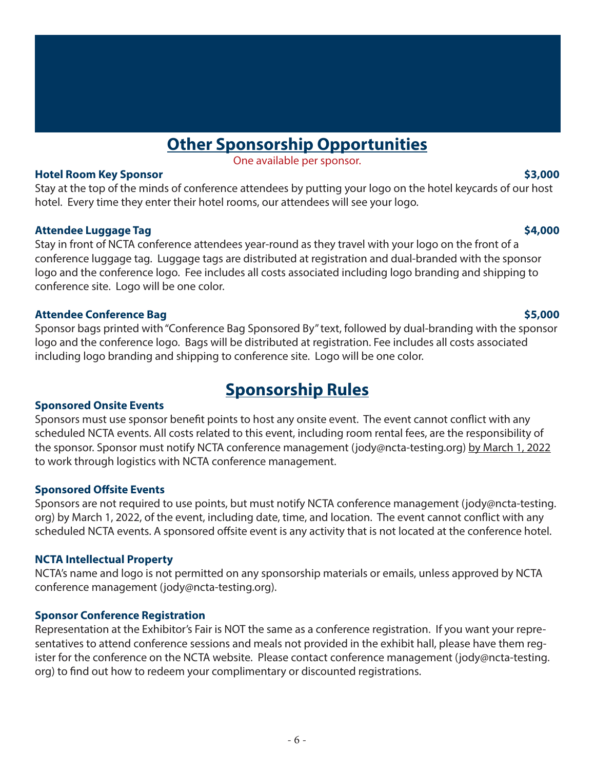## **Other Sponsorship Opportunities**

One available per sponsor.

#### **Hotel Room Key Sponsor \$3,000**

Stay at the top of the minds of conference attendees by putting your logo on the hotel keycards of our host hotel. Every time they enter their hotel rooms, our attendees will see your logo.

### **Attendee Luggage Tag \$4,000**

Stay in front of NCTA conference attendees year-round as they travel with your logo on the front of a conference luggage tag. Luggage tags are distributed at registration and dual-branded with the sponsor logo and the conference logo. Fee includes all costs associated including logo branding and shipping to conference site. Logo will be one color.

#### **Attendee Conference Bag \$5,000**

Sponsor bags printed with "Conference Bag Sponsored By" text, followed by dual-branding with the sponsor logo and the conference logo. Bags will be distributed at registration. Fee includes all costs associated including logo branding and shipping to conference site. Logo will be one color.

### **Sponsorship Rules**

### **Sponsored Onsite Events**

Sponsors must use sponsor benefit points to host any onsite event. The event cannot conflict with any scheduled NCTA events. All costs related to this event, including room rental fees, are the responsibility of the sponsor. Sponsor must notify NCTA conference management (jody@ncta-testing.org) by March 1, 2022 to work through logistics with NCTA conference management.

### **Sponsored Offsite Events**

Sponsors are not required to use points, but must notify NCTA conference management (jody@ncta-testing. org) by March 1, 2022, of the event, including date, time, and location. The event cannot conflict with any scheduled NCTA events. A sponsored offsite event is any activity that is not located at the conference hotel.

### **NCTA Intellectual Property**

NCTA's name and logo is not permitted on any sponsorship materials or emails, unless approved by NCTA conference management (jody@ncta-testing.org).

### **Sponsor Conference Registration**

Representation at the Exhibitor's Fair is NOT the same as a conference registration. If you want your representatives to attend conference sessions and meals not provided in the exhibit hall, please have them register for the conference on the NCTA website. Please contact conference management (jody@ncta-testing. org) to find out how to redeem your complimentary or discounted registrations.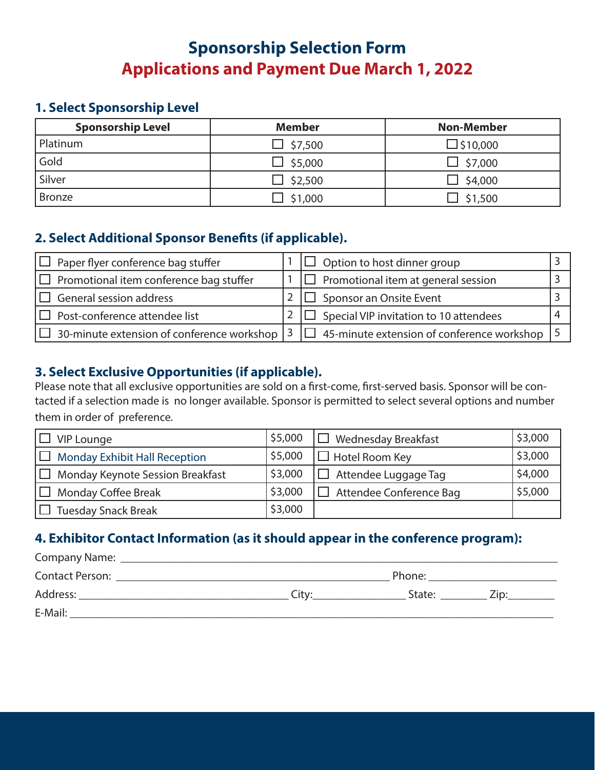## **Sponsorship Selection Form Applications and Payment Due March 1, 2022**

### **1. Select Sponsorship Level**

| <b>Sponsorship Level</b> | <b>Member</b> | <b>Non-Member</b> |
|--------------------------|---------------|-------------------|
| Platinum                 | \$7,500       | $\Box$ \$10,000   |
| Gold                     | \$5,000       | \$7,000           |
| Silver                   | \$2,500       | \$4,000           |
| <b>Bronze</b>            | \$1,000       | \$1,500           |

### **2. Select Additional Sponsor Benefits (if applicable).**

| Paper flyer conference bag stuffer<br>I OLI         | $\Box$ Option to host dinner group                       |  |
|-----------------------------------------------------|----------------------------------------------------------|--|
| $\Box$ Promotional item conference bag stuffer      | $\Box$ Promotional item at general session               |  |
| General session address                             | Sponsor an Onsite Event                                  |  |
| $\Box$ Post-conference attendee list                | $\Box$ Special VIP invitation to 10 attendees            |  |
| $\Box$ 30-minute extension of conference workshop 3 | $\Box$ 45-minute extension of conference workshop $\Box$ |  |

### **3. Select Exclusive Opportunities (if applicable).**

Please note that all exclusive opportunities are sold on a first-come, first-served basis. Sponsor will be contacted if a selection made is no longer available. Sponsor is permitted to select several options and number them in order of preference.

| <b>VIP Lounge</b>                                      | \$5,000 | <b>Wednesday Breakfast</b> | \$3,000 |
|--------------------------------------------------------|---------|----------------------------|---------|
| <b>Monday Exhibit Hall Reception</b><br>$\blacksquare$ | \$5,000 | $\Box$ Hotel Room Key      | \$3,000 |
| H 1<br>Monday Keynote Session Breakfast                | \$3,000 | Attendee Luggage Tag       | \$4,000 |
| <b>Monday Coffee Break</b>                             | \$3,000 | Attendee Conference Bag    | \$5,000 |
| <b>Tuesday Snack Break</b>                             | \$3,000 |                            |         |

### **4. Exhibitor Contact Information (as it should appear in the conference program):**

| Company Name:          |       |        |      |
|------------------------|-------|--------|------|
| <b>Contact Person:</b> |       | Phone: |      |
| Address:               | City: | State: | Zip: |
| E-Mail:                |       |        |      |